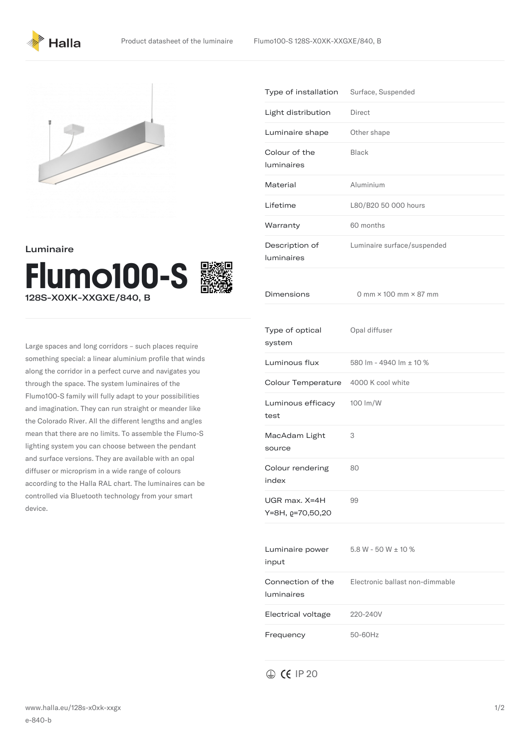



Luminaire



Large spaces and long corridors – such places require something special: a linear aluminium profile that winds along the corridor in a perfect curve and navigates you through the space. The system luminaires of the Flumo100-S family will fully adapt to your possibilities and imagination. They can run straight or meander like the Colorado River. All the different lengths and angles mean that there are no limits. To assemble the Flumo-S lighting system you can choose between the pendant and surface versions. They are available with an opal diffuser or microprism in a wide range of colours according to the Halla RAL chart. The luminaires can be controlled via Bluetooth technology from your smart device.

|                                   | Type of installation<br>Surface, Suspended |
|-----------------------------------|--------------------------------------------|
| Light distribution                | Direct                                     |
| Luminaire shape                   | Other shape                                |
| Colour of the<br>luminaires       | <b>Black</b>                               |
| Material                          | Aluminium                                  |
| Lifetime                          | L80/B20 50 000 hours                       |
| Warranty                          | 60 months                                  |
| Description of<br>luminaires      | Luminaire surface/suspended                |
| Dimensions                        | 0 mm $\times$ 100 mm $\times$ 87 mm        |
| Type of optical<br>system         | Opal diffuser                              |
| Luminous flux                     | 580 lm - 4940 lm ± 10 %                    |
| Colour Temperature                | 4000 K cool white                          |
| Luminous efficacy<br>test         | 100 lm/W                                   |
|                                   |                                            |
| MacAdam Light<br>source           | 3                                          |
| Colour rendering<br>index         | 80                                         |
| UGR max. X=4H<br>Y=8H, p=70,50,20 | 99                                         |
| Luminaire power<br>input          | $5.8 W - 50 W \pm 10 \%$                   |
| Connection of the<br>luminaires   | Electronic ballast non-dimmable            |
| Electrical voltage                | 220-240V                                   |

 $\oplus$  CE IP 20